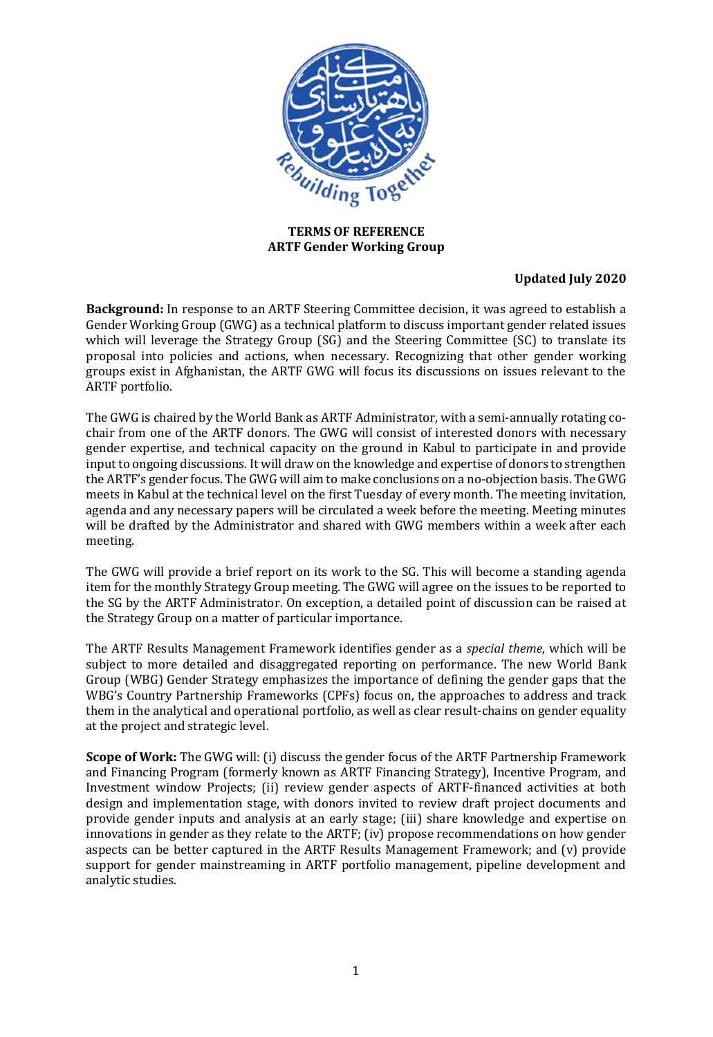

### **TERMS OF REFERENCE ARTF Gender Working Group**

# **Updated July 2020**

**Background:** In response to an ARTF Steering Committee decision, it was agreed to establish a Gender Working Group (GWG) as a technical platform to discuss important gender related issues which will leverage the Strategy Group (SG) and the Steering Committee (SC) to translate its proposal into policies and actions, when necessary. Recognizing that other gender working groups exist in Afghanistan, the ARTF GWG will focus its discussions on issues relevant to the ARTF portfolio.

The GWG is chaired by the World Bank as ARTF Administrator, with a semi-annually rotating cochair from one of the ARTF donors. The GWG will consist of interested donors with necessary gender expertise, and technical capacity on the ground in Kabul to participate in and provide input to ongoing discussions. It will draw on the knowledge and expertise of donors to strengthen the ARTF's gender focus. The GWG will aim to make conclusions on a no-objection basis. The GWG meets in Kabul at the technical level on the first Tuesday of every month. The meeting invitation, agenda and any necessary papers will be circulated a week before the meeting. Meeting minutes will be drafted by the Administrator and shared with GWG members within a week after each meeting.

The GWG will provide a brief report on its work to the SG. This will become a standing agenda item for the monthly Strategy Group meeting. The GWG will agree on the issues to be reported to the SG by the ARTF Administrator. On exception, a detailed point of discussion can be raised at the Strategy Group on a matter of particular importance.

The ARTF Results Management Framework identifies gender as a *special theme*, which will be subject to more detailed and disaggregated reporting on performance. The new World Bank Group (WBG) Gender Strategy emphasizes the importance of defining the gender gaps that the WBG's Country Partnership Frameworks (CPFs) focus on, the approaches to address and track them in the analytical and operational portfolio, as well as clear result-chains on gender equality at the project and strategic level.

**Scope of Work:** The GWG will: (i) discuss the gender focus of the ARTF Partnership Framework and Financing Program (formerly known as ARTF Financing Strategy), Incentive Program, and Investment window Projects; (ii) review gender aspects of ARTF-financed activities at both design and implementation stage, with donors invited to review draft project documents and provide gender inputs and analysis at an early stage; (iii) share knowledge and expertise on innovations in gender as they relate to the ARTF; (iv) propose recommendations on how gender aspects can be better captured in the ARTF Results Management Framework; and (v) provide support for gender mainstreaming in ARTF portfolio management, pipeline development and analytic studies.